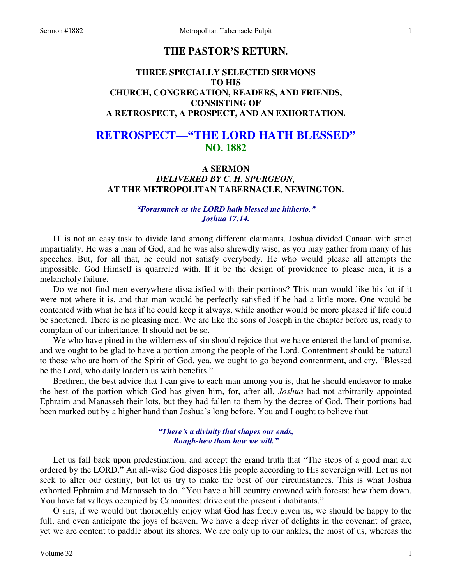# **THE PASTOR'S RETURN.**

## **THREE SPECIALLY SELECTED SERMONS TO HIS CHURCH, CONGREGATION, READERS, AND FRIENDS, CONSISTING OF A RETROSPECT, A PROSPECT, AND AN EXHORTATION.**

# **RETROSPECT—"THE LORD HATH BLESSED" NO. 1882**

## **A SERMON**  *DELIVERED BY C. H. SPURGEON,*  **AT THE METROPOLITAN TABERNACLE, NEWINGTON.**

## *"Forasmuch as the LORD hath blessed me hitherto." Joshua 17:14.*

IT is not an easy task to divide land among different claimants. Joshua divided Canaan with strict impartiality. He was a man of God, and he was also shrewdly wise, as you may gather from many of his speeches. But, for all that, he could not satisfy everybody. He who would please all attempts the impossible. God Himself is quarreled with. If it be the design of providence to please men, it is a melancholy failure.

 Do we not find men everywhere dissatisfied with their portions? This man would like his lot if it were not where it is, and that man would be perfectly satisfied if he had a little more. One would be contented with what he has if he could keep it always, while another would be more pleased if life could be shortened. There is no pleasing men. We are like the sons of Joseph in the chapter before us, ready to complain of our inheritance. It should not be so.

 We who have pined in the wilderness of sin should rejoice that we have entered the land of promise, and we ought to be glad to have a portion among the people of the Lord. Contentment should be natural to those who are born of the Spirit of God, yea, we ought to go beyond contentment, and cry, "Blessed be the Lord, who daily loadeth us with benefits."

 Brethren, the best advice that I can give to each man among you is, that he should endeavor to make the best of the portion which God has given him, for, after all, *Joshua* had not arbitrarily appointed Ephraim and Manasseh their lots, but they had fallen to them by the decree of God. Their portions had been marked out by a higher hand than Joshua's long before. You and I ought to believe that—

#### *"There's a divinity that shapes our ends, Rough-hew them how we will."*

Let us fall back upon predestination, and accept the grand truth that "The steps of a good man are ordered by the LORD." An all-wise God disposes His people according to His sovereign will. Let us not seek to alter our destiny, but let us try to make the best of our circumstances. This is what Joshua exhorted Ephraim and Manasseh to do. "You have a hill country crowned with forests: hew them down. You have fat valleys occupied by Canaanites: drive out the present inhabitants."

 O sirs, if we would but thoroughly enjoy what God has freely given us, we should be happy to the full, and even anticipate the joys of heaven. We have a deep river of delights in the covenant of grace, yet we are content to paddle about its shores. We are only up to our ankles, the most of us, whereas the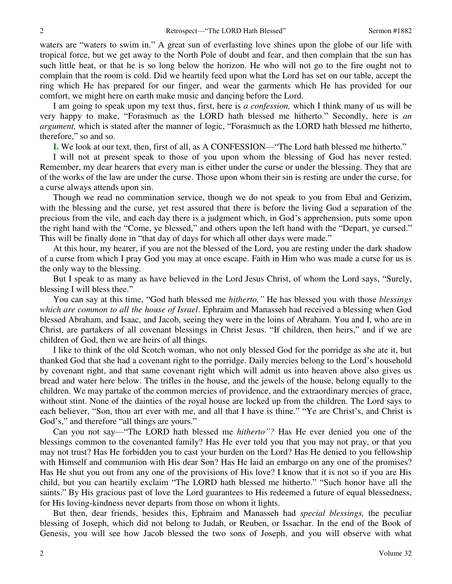waters are "waters to swim in." A great sun of everlasting love shines upon the globe of our life with tropical force, but we get away to the North Pole of doubt and fear, and then complain that the sun has such little heat, or that he is so long below the horizon. He who will not go to the fire ought not to complain that the room is cold. Did we heartily feed upon what the Lord has set on our table, accept the ring which He has prepared for our finger, and wear the garments which He has provided for our comfort, we might here on earth make music and dancing before the Lord.

 I am going to speak upon my text thus, first, here is *a confession,* which I think many of us will be very happy to make, "Forasmuch as the LORD hath blessed me hitherto." Secondly, here is *an argument,* which is stated after the manner of logic, "Forasmuch as the LORD hath blessed me hitherto, therefore," so and so.

**I.** We look at our text, then, first of all, as A CONFESSION—"The Lord hath blessed me hitherto."

 I will not at present speak to those of you upon whom the blessing of God has never rested. Remember, my dear hearers that every man is either under the curse or under the blessing. They that are of the works of the law are under the curse. Those upon whom their sin is resting are under the curse, for a curse always attends upon sin.

 Though we read no commination service, though we do not speak to you from Ebal and Gerizim, with the blessing and the curse, yet rest assured that there is before the living God a separation of the precious from the vile, and each day there is a judgment which, in God's apprehension, puts some upon the right hand with the "Come, ye blessed," and others upon the left hand with the "Depart, ye cursed." This will be finally done in "that day of days for which all other days were made."

 At this hour, my hearer, if you are not the blessed of the Lord, you are resting under the dark shadow of a curse from which I pray God you may at once escape. Faith in Him who was made a curse for us is the only way to the blessing.

 But I speak to as many as have believed in the Lord Jesus Christ, of whom the Lord says, "Surely, blessing I will bless thee."

You can say at this time, "God hath blessed me *hitherto."* He has blessed you with those *blessings which are common to all the house of Israel*. Ephraim and Manasseh had received a blessing when God blessed Abraham, and Isaac, and Jacob, seeing they were in the loins of Abraham. You and I, who are in Christ, are partakers of all covenant blessings in Christ Jesus. "If children, then heirs," and if we are children of God, then we are heirs of all things.

I like to think of the old Scotch woman, who not only blessed God for the porridge as she ate it, but thanked God that she had a covenant right to the porridge. Daily mercies belong to the Lord's household by covenant right, and that same covenant right which will admit us into heaven above also gives us bread and water here below. The trifles in the house, and the jewels of the house, belong equally to the children. We may partake of the common mercies of providence, and the extraordinary mercies of grace, without stint. None of the dainties of the royal house are locked up from the children. The Lord says to each believer, "Son, thou art ever with me, and all that I have is thine." "Ye are Christ's, and Christ is God's," and therefore "all things are yours."

 Can you not say—"The LORD hath blessed me *hitherto"?* Has He ever denied you one of the blessings common to the covenanted family? Has He ever told you that you may not pray, or that you may not trust? Has He forbidden you to cast your burden on the Lord? Has He denied to you fellowship with Himself and communion with His dear Son? Has He laid an embargo on any one of the promises? Has He shut you out from any one of the provisions of His love? I know that it is not so if you are His child, but you can heartily exclaim "The LORD hath blessed me hitherto." "Such honor have all the saints." By His gracious past of love the Lord guarantees to His redeemed a future of equal blessedness, for His loving-kindness never departs from those on whom it lights.

 But then, dear friends, besides this, Ephraim and Manasseh had *special blessings,* the peculiar blessing of Joseph, which did not belong to Judah, or Reuben, or Issachar. In the end of the Book of Genesis, you will see how Jacob blessed the two sons of Joseph, and you will observe with what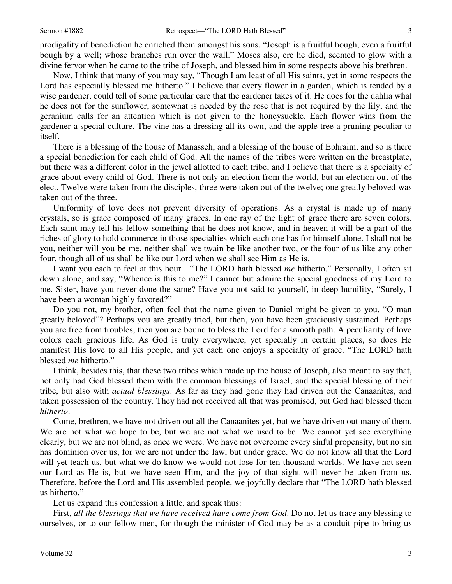prodigality of benediction he enriched them amongst his sons. "Joseph is a fruitful bough, even a fruitful bough by a well; whose branches run over the wall." Moses also, ere he died, seemed to glow with a divine fervor when he came to the tribe of Joseph, and blessed him in some respects above his brethren.

 Now, I think that many of you may say, "Though I am least of all His saints, yet in some respects the Lord has especially blessed me hitherto." I believe that every flower in a garden, which is tended by a wise gardener, could tell of some particular care that the gardener takes of it. He does for the dahlia what he does not for the sunflower, somewhat is needed by the rose that is not required by the lily, and the geranium calls for an attention which is not given to the honeysuckle. Each flower wins from the gardener a special culture. The vine has a dressing all its own, and the apple tree a pruning peculiar to itself.

 There is a blessing of the house of Manasseh, and a blessing of the house of Ephraim, and so is there a special benediction for each child of God. All the names of the tribes were written on the breastplate, but there was a different color in the jewel allotted to each tribe, and I believe that there is a specialty of grace about every child of God. There is not only an election from the world, but an election out of the elect. Twelve were taken from the disciples, three were taken out of the twelve; one greatly beloved was taken out of the three.

 Uniformity of love does not prevent diversity of operations. As a crystal is made up of many crystals, so is grace composed of many graces. In one ray of the light of grace there are seven colors. Each saint may tell his fellow something that he does not know, and in heaven it will be a part of the riches of glory to hold commerce in those specialties which each one has for himself alone. I shall not be you, neither will you be me, neither shall we twain be like another two, or the four of us like any other four, though all of us shall be like our Lord when we shall see Him as He is.

 I want you each to feel at this hour—"The LORD hath blessed *me* hitherto." Personally, I often sit down alone, and say, "Whence is this to me?" I cannot but admire the special goodness of my Lord to me. Sister, have you never done the same? Have you not said to yourself, in deep humility, "Surely, I have been a woman highly favored?"

 Do you not, my brother, often feel that the name given to Daniel might be given to you, "O man greatly beloved"? Perhaps you are greatly tried, but then, you have been graciously sustained. Perhaps you are free from troubles, then you are bound to bless the Lord for a smooth path. A peculiarity of love colors each gracious life. As God is truly everywhere, yet specially in certain places, so does He manifest His love to all His people, and yet each one enjoys a specialty of grace. "The LORD hath blessed *me* hitherto."

 I think, besides this, that these two tribes which made up the house of Joseph, also meant to say that, not only had God blessed them with the common blessings of Israel, and the special blessing of their tribe, but also with *actual blessings*. As far as they had gone they had driven out the Canaanites, and taken possession of the country. They had not received all that was promised, but God had blessed them *hitherto*.

 Come, brethren, we have not driven out all the Canaanites yet, but we have driven out many of them. We are not what we hope to be, but we are not what we used to be. We cannot yet see everything clearly, but we are not blind, as once we were. We have not overcome every sinful propensity, but no sin has dominion over us, for we are not under the law, but under grace. We do not know all that the Lord will yet teach us, but what we do know we would not lose for ten thousand worlds. We have not seen our Lord as He is, but we have seen Him, and the joy of that sight will never be taken from us. Therefore, before the Lord and His assembled people, we joyfully declare that "The LORD hath blessed us hitherto."

Let us expand this confession a little, and speak thus:

 First, *all the blessings that we have received have come from God*. Do not let us trace any blessing to ourselves, or to our fellow men, for though the minister of God may be as a conduit pipe to bring us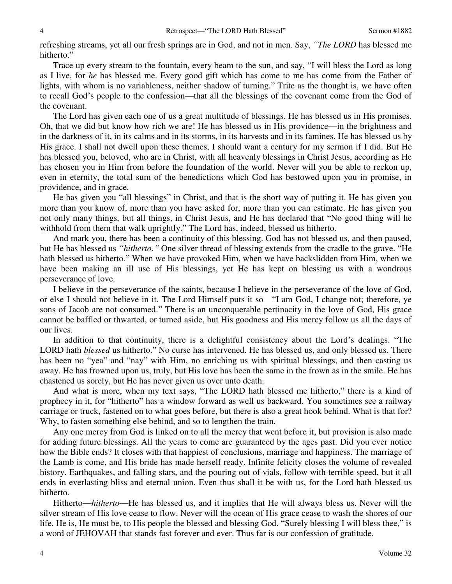refreshing streams, yet all our fresh springs are in God, and not in men. Say, *"The LORD* has blessed me hitherto."

 Trace up every stream to the fountain, every beam to the sun, and say, "I will bless the Lord as long as I live, for *he* has blessed me. Every good gift which has come to me has come from the Father of lights, with whom is no variableness, neither shadow of turning." Trite as the thought is, we have often to recall God's people to the confession—that all the blessings of the covenant come from the God of the covenant.

 The Lord has given each one of us a great multitude of blessings. He has blessed us in His promises. Oh, that we did but know how rich we are! He has blessed us in His providence—in the brightness and in the darkness of it, in its calms and in its storms, in its harvests and in its famines. He has blessed us by His grace. I shall not dwell upon these themes, I should want a century for my sermon if I did. But He has blessed you, beloved, who are in Christ, with all heavenly blessings in Christ Jesus, according as He has chosen you in Him from before the foundation of the world. Never will you be able to reckon up, even in eternity, the total sum of the benedictions which God has bestowed upon you in promise, in providence, and in grace.

 He has given you "all blessings" in Christ, and that is the short way of putting it. He has given you more than you know of, more than you have asked for, more than you can estimate. He has given you not only many things, but all things, in Christ Jesus, and He has declared that "No good thing will he withhold from them that walk uprightly." The Lord has, indeed, blessed us hitherto.

 And mark you, there has been a continuity of this blessing. God has not blessed us, and then paused, but He has blessed us *"hitherto."* One silver thread of blessing extends from the cradle to the grave. "He hath blessed us hitherto." When we have provoked Him, when we have backslidden from Him, when we have been making an ill use of His blessings, yet He has kept on blessing us with a wondrous perseverance of love.

 I believe in the perseverance of the saints, because I believe in the perseverance of the love of God, or else I should not believe in it. The Lord Himself puts it so—"I am God, I change not; therefore, ye sons of Jacob are not consumed." There is an unconquerable pertinacity in the love of God, His grace cannot be baffled or thwarted, or turned aside, but His goodness and His mercy follow us all the days of our lives.

 In addition to that continuity, there is a delightful consistency about the Lord's dealings. "The LORD hath *blessed* us hitherto." No curse has intervened. He has blessed us, and only blessed us. There has been no "yea" and "nay" with Him, no enriching us with spiritual blessings, and then casting us away. He has frowned upon us, truly, but His love has been the same in the frown as in the smile. He has chastened us sorely, but He has never given us over unto death.

 And what is more, when my text says, "The LORD hath blessed me hitherto," there is a kind of prophecy in it, for "hitherto" has a window forward as well us backward. You sometimes see a railway carriage or truck, fastened on to what goes before, but there is also a great hook behind. What is that for? Why, to fasten something else behind, and so to lengthen the train.

 Any one mercy from God is linked on to all the mercy that went before it, but provision is also made for adding future blessings. All the years to come are guaranteed by the ages past. Did you ever notice how the Bible ends? It closes with that happiest of conclusions, marriage and happiness. The marriage of the Lamb is come, and His bride has made herself ready. Infinite felicity closes the volume of revealed history. Earthquakes, and falling stars, and the pouring out of vials, follow with terrible speed, but it all ends in everlasting bliss and eternal union. Even thus shall it be with us, for the Lord hath blessed us hitherto.

 Hitherto—*hitherto*—He has blessed us, and it implies that He will always bless us. Never will the silver stream of His love cease to flow. Never will the ocean of His grace cease to wash the shores of our life. He is, He must be, to His people the blessed and blessing God. "Surely blessing I will bless thee," is a word of JEHOVAH that stands fast forever and ever. Thus far is our confession of gratitude.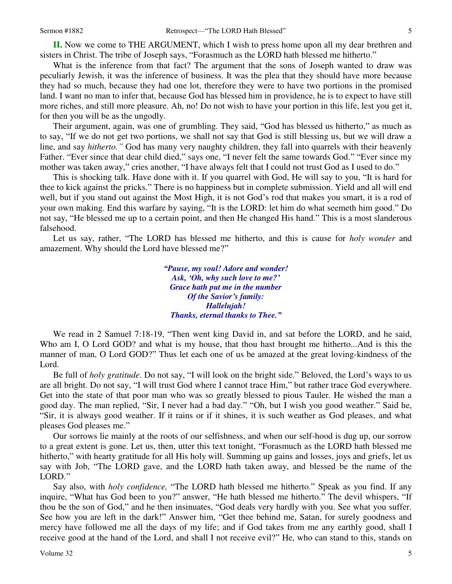**II.** Now we come to THE ARGUMENT, which I wish to press home upon all my dear brethren and sisters in Christ. The tribe of Joseph says, "Forasmuch as the LORD hath blessed me hitherto."

 What is the inference from that fact? The argument that the sons of Joseph wanted to draw was peculiarly Jewish, it was the inference of business. It was the plea that they should have more because they had so much, because they had one lot, therefore they were to have two portions in the promised land. I want no man to infer that, because God has blessed him in providence, he is to expect to have still more riches, and still more pleasure. Ah, no! Do not wish to have your portion in this life, lest you get it, for then you will be as the ungodly.

 Their argument, again, was one of grumbling. They said, "God has blessed us hitherto," as much as to say, "If we do not get two portions, we shall not say that God is still blessing us, but we will draw a line, and say *hitherto."* God has many very naughty children, they fall into quarrels with their heavenly Father. "Ever since that dear child died," says one, "I never felt the same towards God." "Ever since my mother was taken away," cries another, "I have always felt that I could not trust God as I used to do."

 This is shocking talk. Have done with it. If you quarrel with God, He will say to you, "It is hard for thee to kick against the pricks." There is no happiness but in complete submission. Yield and all will end well, but if you stand out against the Most High, it is not God's rod that makes you smart, it is a rod of your own making. End this warfare by saying, "It is the LORD: let him do what seemeth him good." Do not say, "He blessed me up to a certain point, and then He changed His hand." This is a most slanderous falsehood.

 Let us say, rather, "The LORD has blessed me hitherto, and this is cause for *holy wonder* and amazement. Why should the Lord have blessed me?"

> *"Pause, my soul! Adore and wonder! Ask, 'Oh, why such love to me?' Grace hath put me in the number Of the Savior's family: Hallelujah! Thanks, eternal thanks to Thee."*

 We read in 2 Samuel 7:18-19, "Then went king David in, and sat before the LORD, and he said, Who am I, O Lord GOD? and what is my house, that thou hast brought me hitherto...And is this the manner of man, O Lord GOD?" Thus let each one of us be amazed at the great loving-kindness of the Lord.

 Be full of *holy gratitude*. Do not say, "I will look on the bright side." Beloved, the Lord's ways to us are all bright. Do not say, "I will trust God where I cannot trace Him," but rather trace God everywhere. Get into the state of that poor man who was so greatly blessed to pious Tauler. He wished the man a good day. The man replied, "Sir, I never had a bad day." "Oh, but I wish you good weather." Said he, "Sir, it is always good weather. If it rains or if it shines, it is such weather as God pleases, and what pleases God pleases me."

 Our sorrows lie mainly at the roots of our selfishness, and when our self-hood is dug up, our sorrow to a great extent is gone. Let us, then, utter this text tonight, "Forasmuch as the LORD hath blessed me hitherto," with hearty gratitude for all His holy will. Summing up gains and losses, joys and griefs, let us say with Job, "The LORD gave, and the LORD hath taken away, and blessed be the name of the LORD."

 Say also, with *holy confidence,* "The LORD hath blessed me hitherto." Speak as you find. If any inquire, "What has God been to you?" answer, "He hath blessed me hitherto." The devil whispers, "If thou be the son of God," and he then insinuates, "God deals very hardly with you. See what you suffer. See how you are left in the dark!" Answer him, "Get thee behind me, Satan, for surely goodness and mercy have followed me all the days of my life; and if God takes from me any earthly good, shall I receive good at the hand of the Lord, and shall I not receive evil?" He, who can stand to this, stands on